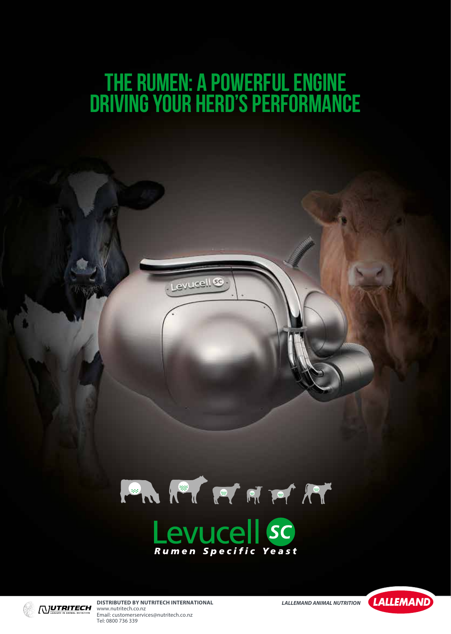# **The rumen: a powerful ENGINE DRIVING YOUR HERD'S PERFORMANCE**



**NUTRITECH** 

**DISTRIBUTED BY NUTRITECH INTERNATIONAL** *LALLEMAND ANIMAL NUTRITION* www.nutritech.co.nz Email: customerservices@nutritech.co.nz Tel: 0800 736 339

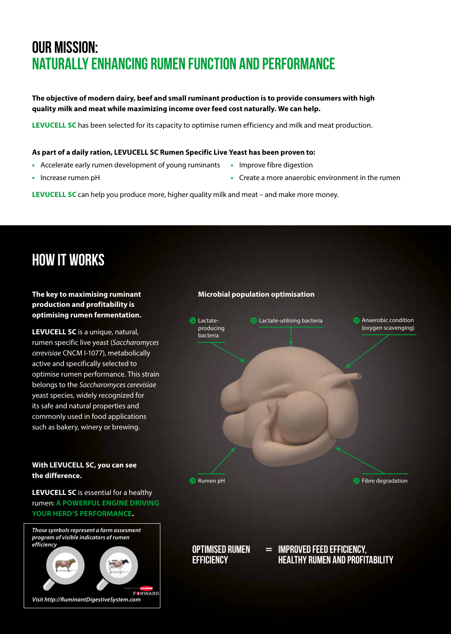## **OUR MISSION: NATURALLY ENHANCING RUMEN FUNCTION AND PERFORMANCE**

#### **The objective of modern dairy, beef and small ruminant production is to provide consumers with high quality milk and meat while maximizing income over feed cost naturally. We can help.**

**LEVUCELL SC** has been selected for its capacity to optimise rumen efficiency and milk and meat production.

#### **As part of a daily ration, LEVUCELL SC Rumen Specific Live Yeast has been proven to:**

- **•** Accelerate early rumen development of young ruminants
- **•** Increase rumen pH
- **•** Improve fibre digestion
- **•** Create a more anaerobic environment in the rumen

**LEVUCELL SC** can help you produce more, higher quality milk and meat – and make more money.

### **HOW IT WORKS**

#### **The key to maximising ruminant production and profitability is optimising rumen fermentation.**

**LEVUCELL SC** is a unique, natural, rumen specific live yeast (*Saccharomyces cerevisiae* CNCM I-1077), metabolically active and specifically selected to optimise rumen performance. This strain belongs to the *Saccharomyces cerevisiae* yeast species, widely recognized for its safe and natural properties and commonly used in food applications such as bakery, winery or brewing.

#### **With LEVUCELL SC, you can see the difference.**

**LEVUCELL SC** is essential for a healthy rumen: **A POWERFUL ENGINE DRIVING YOUR HERD'S PERFORMANCE.**

*Those symbols represent a farm assesment program of visible indicators of rumen efficiency* **BY***B*WARD

*Visit http://RuminantDigestiveSystem.com*

#### **Microbial population optimisation**

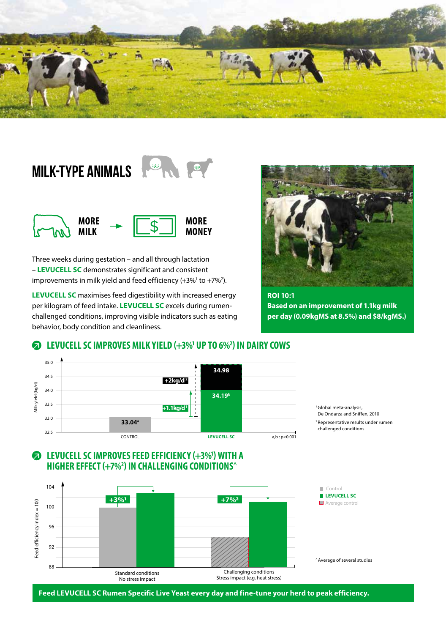

## **MILK-TYPE ANIMALS**





Three weeks during gestation – and all through lactation – **LEVUCELL SC** demonstrates significant and consistent improvements in milk yield and feed efficiency  $(+3\%^{1}$  to  $+7\%^{2})$ .

**LEVUCELL SC** maximises feed digestibility with increased energy per kilogram of feed intake. **LEVUCELL SC** excels during rumenchallenged conditions, improving visible indicators such as eating behavior, body condition and cleanliness.



**ROI 10:1 Based on an improvement of 1.1kg milk per day (0.09kgMS at 8.5%) and \$8/kgMS.)**

### **LEVUCELL SC IMPROVES MILK YIELD (+3%1 UP TO 6%2 ) IN DAIRY COWS**



<sup>1</sup> Global meta-analysis, De Ondarza and Sniffen, 2010 2 Representative results under rumen challenged conditions

### LEVUCELL SC IMPROVES FEED EFFICIENCY (+3%<sup>1</sup>) WITH A **HIGHER EFFECT (+7%2 ) IN CHALLENGING CONDITIONS^**



**Feed LEVUCELL SC Rumen Specific Live Yeast every day and fine-tune your herd to peak efficiency.**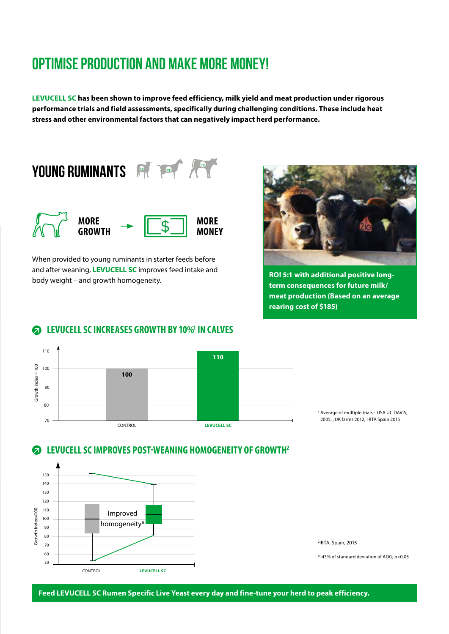### **OPTIMIsE PRODUCTION AND MAKE MORE MONEY!**

**LEVUCELL SC has been shown to improve feed efficiency, milk yield and meat production under rigorous performance trials and field assessments, specifically during challenging conditions. These include heat stress and other environmental factors that can negatively impact herd performance.**



When provided to young ruminants in starter feeds before and after weaning, **LEVUCELL SC** improves feed intake and body weight – and growth homogeneity.



**ROI 5:1 with additional positive longterm consequences for future milk/ meat production (Based on an average rearing cost of \$185)**

#### **LEVUCELL SC INCREASES GROWTH BY 10%1 IN CALVES**



<sup>1</sup> Average of multiple trials: USA UC DAVIS, 2005, , UK farms 2012, IRTA Spain 2015

#### **COLLEVUCELL SC IMPROVES POST-WEANING HOMOGENEITY OF GROWTH**



2 IRTA, Spain, 2015

\*-43% of standard deviation of ADG; p<0.05

#### **Feed LEVUCELL SC Rumen Specific Live Yeast every day and fine-tune your herd to peak efficiency.**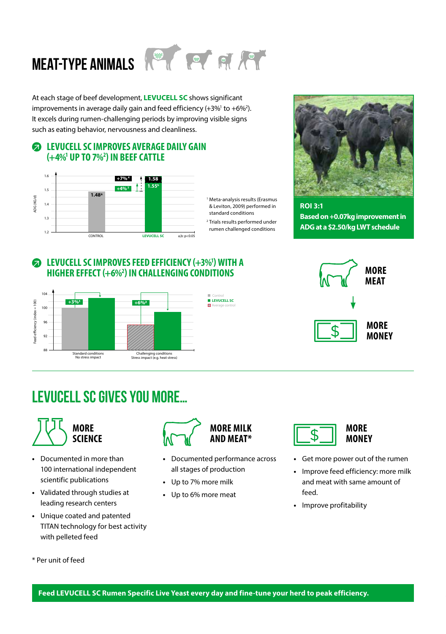

At each stage of beef development, **LEVUCELL SC** shows significant improvements in average daily gain and feed efficiency  $(+3\%^{1}$  to  $+6\%^{2})$ . It excels during rumen-challenging periods by improving visible signs such as eating behavior, nervousness and cleanliness.





<sup>1</sup> Meta-analysis results (Erasmus & Leviton, 2009) performed in standard conditions <sup>2</sup> Trials results performed under

rumen challenged conditions



**ROI 3:1 Based on +0.07kg improvement in ADG at a \$2.50/kg LWT schedule**

#### LEVUCELL SC IMPROVES FEED EFFICIENCY (+3%<sup>1</sup>) WITH A **HIGHER EFFECT (+6%2 ) IN CHALLENGING CONDITIONS**





### **LEVUCELL SC GIVES YOU MORE…**



- **•** Documented in more than 100 international independent scientific publications
- **•** Validated through studies at leading research centers
- **•** Unique coated and patented TITAN technology for best activity with pelleted feed



- **•** Documented performance across all stages of production
- **•** Up to 7% more milk
- **•** Up to 6% more meat



- **•** Get more power out of the rumen
- **•** Improve feed efficiency: more milk and meat with same amount of feed.
- **•** Improve profitability

\* Per unit of feed